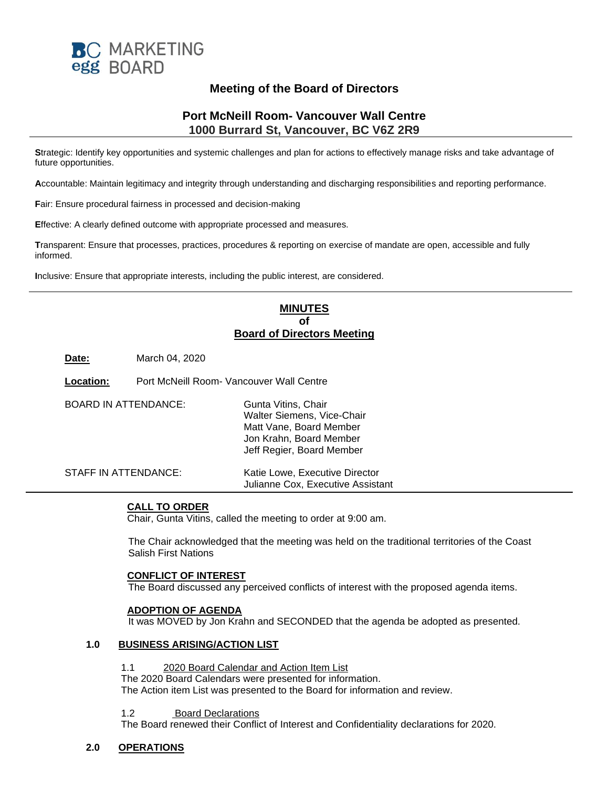

# **Meeting of the Board of Directors**

# **Port McNeill Room- Vancouver Wall Centre 1000 Burrard St, Vancouver, BC V6Z 2R9**

**S**trategic: Identify key opportunities and systemic challenges and plan for actions to effectively manage risks and take advantage of future opportunities.

**A**ccountable: Maintain legitimacy and integrity through understanding and discharging responsibilities and reporting performance.

**F**air: Ensure procedural fairness in processed and decision-making

**E**ffective: A clearly defined outcome with appropriate processed and measures.

**T**ransparent: Ensure that processes, practices, procedures & reporting on exercise of mandate are open, accessible and fully informed.

**I**nclusive: Ensure that appropriate interests, including the public interest, are considered.

# **MINUTES of Board of Directors Meeting**

**Date:** March 04, 2020

**Location:** Port McNeill Room- Vancouver Wall Centre

| <b>BOARD IN ATTENDANCE:</b> | Gunta Vitins, Chair<br>Walter Siemens, Vice-Chair<br>Matt Vane, Board Member<br>Jon Krahn, Board Member<br>Jeff Regier, Board Member |
|-----------------------------|--------------------------------------------------------------------------------------------------------------------------------------|
| STAFF IN ATTENDANCE:        | Katie Lowe, Executive Director<br>Julianne Cox, Executive Assistant                                                                  |

## **CALL TO ORDER**

Chair, Gunta Vitins, called the meeting to order at 9:00 am.

The Chair acknowledged that the meeting was held on the traditional territories of the Coast Salish First Nations

#### **CONFLICT OF INTEREST**

The Board discussed any perceived conflicts of interest with the proposed agenda items.

## **ADOPTION OF AGENDA**

It was MOVED by Jon Krahn and SECONDED that the agenda be adopted as presented.

# **1.0 BUSINESS ARISING/ACTION LIST**

1.1 2020 Board Calendar and Action Item List

The 2020 Board Calendars were presented for information. The Action item List was presented to the Board for information and review.

#### 1.2 Board Declarations

The Board renewed their Conflict of Interest and Confidentiality declarations for 2020.

## **2.0 OPERATIONS**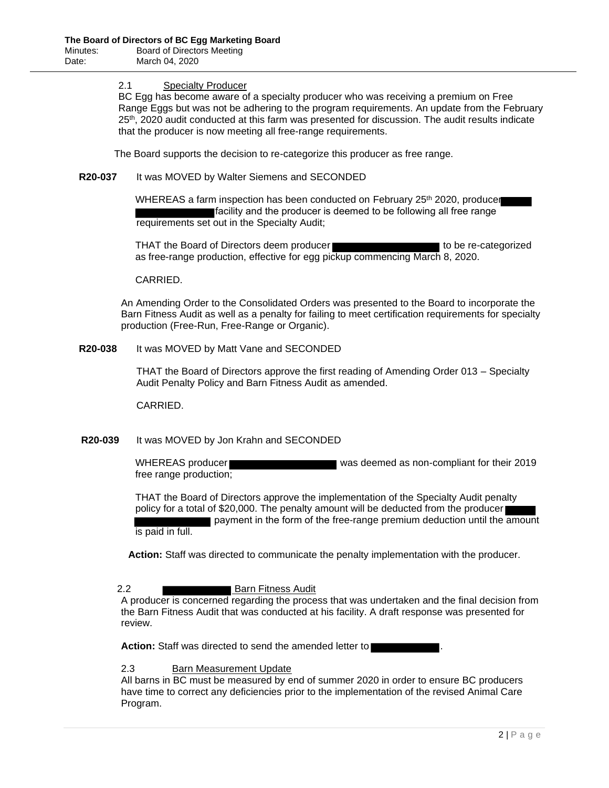#### 2.1 Specialty Producer

BC Egg has become aware of a specialty producer who was receiving a premium on Free Range Eggs but was not be adhering to the program requirements. An update from the February 25th, 2020 audit conducted at this farm was presented for discussion. The audit results indicate that the producer is now meeting all free-range requirements.

The Board supports the decision to re-categorize this producer as free range.

#### **R20-037** It was MOVED by Walter Siemens and SECONDED

WHEREAS a farm inspection has been conducted on February 25<sup>th</sup> 2020, producer facility and the producer is deemed to be following all free range requirements set out in the Specialty Audit;

THAT the Board of Directors deem producer to be re-categorized as free-range production, effective for egg pickup commencing March 8, 2020.

## CARRIED.

An Amending Order to the Consolidated Orders was presented to the Board to incorporate the Barn Fitness Audit as well as a penalty for failing to meet certification requirements for specialty production (Free-Run, Free-Range or Organic).

#### **R20-038** It was MOVED by Matt Vane and SECONDED

THAT the Board of Directors approve the first reading of Amending Order 013 – Specialty Audit Penalty Policy and Barn Fitness Audit as amended.

CARRIED.

## **R20-039** It was MOVED by Jon Krahn and SECONDED

WHEREAS producer was deemed as non-compliant for their 2019 free range production;

THAT the Board of Directors approve the implementation of the Specialty Audit penalty policy for a total of \$20,000. The penalty amount will be deducted from the producer payment in the form of the free-range premium deduction until the amount is paid in full.

**Action:** Staff was directed to communicate the penalty implementation with the producer.

## 2.2 **Barn Fitness Audit**

A producer is concerned regarding the process that was undertaken and the final decision from the Barn Fitness Audit that was conducted at his facility. A draft response was presented for review.

Action: Staff was directed to send the amended letter to

## 2.3 Barn Measurement Update

All barns in BC must be measured by end of summer 2020 in order to ensure BC producers have time to correct any deficiencies prior to the implementation of the revised Animal Care Program.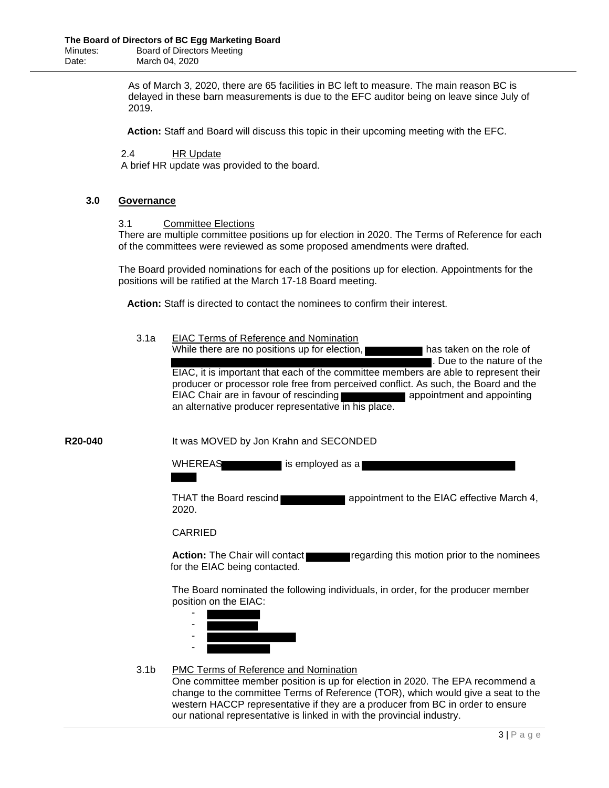As of March 3, 2020, there are 65 facilities in BC left to measure. The main reason BC is delayed in these barn measurements is due to the EFC auditor being on leave since July of 2019.

**Action:** Staff and Board will discuss this topic in their upcoming meeting with the EFC.

2.4 HR Update

A brief HR update was provided to the board.

#### **3.0 Governance**

#### 3.1 Committee Elections

There are multiple committee positions up for election in 2020. The Terms of Reference for each of the committees were reviewed as some proposed amendments were drafted.

The Board provided nominations for each of the positions up for election. Appointments for the positions will be ratified at the March 17-18 Board meeting.

**Action:** Staff is directed to contact the nominees to confirm their interest.

3.1a EIAC Terms of Reference and Nomination While there are no positions up for election, has taken on the role of . Due to the nature of the EIAC, it is important that each of the committee members are able to represent their producer or processor role free from perceived conflict. As such, the Board and the EIAC Chair are in favour of rescinding **and appointment and appointing** an alternative producer representative in his place.

**R20-040** It was MOVED by Jon Krahn and SECONDED

WHEREAS is employed as a

THAT the Board rescind **THAT the Board rescind** 2020.

## CARRIED

**Action:** The Chair will contact **regarding this motion prior to the nominees** for the EIAC being contacted.

The Board nominated the following individuals, in order, for the producer member position on the EIAC:



## 3.1b PMC Terms of Reference and Nomination

One committee member position is up for election in 2020. The EPA recommend a change to the committee Terms of Reference (TOR), which would give a seat to the western HACCP representative if they are a producer from BC in order to ensure our national representative is linked in with the provincial industry.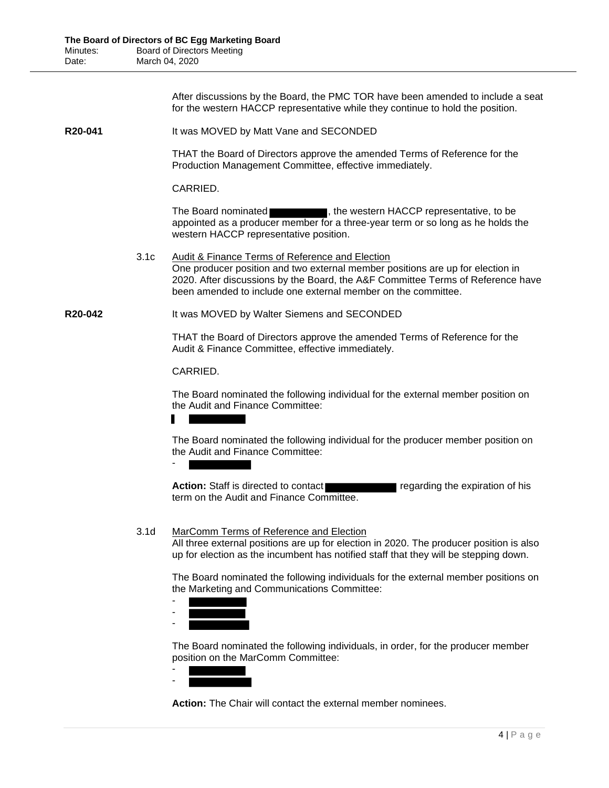After discussions by the Board, the PMC TOR have been amended to include a seat for the western HACCP representative while they continue to hold the position.

**R20-041** It was MOVED by Matt Vane and SECONDED

THAT the Board of Directors approve the amended Terms of Reference for the Production Management Committee, effective immediately.

CARRIED.

The Board nominated **The Board nominated**, the western HACCP representative, to be appointed as a producer member for a three-year term or so long as he holds the western HACCP representative position.

3.1c Audit & Finance Terms of Reference and Election One producer position and two external member positions are up for election in 2020. After discussions by the Board, the A&F Committee Terms of Reference have been amended to include one external member on the committee.

**R20-042** It was MOVED by Walter Siemens and SECONDED

THAT the Board of Directors approve the amended Terms of Reference for the Audit & Finance Committee, effective immediately.

## CARRIED.

The Board nominated the following individual for the external member position on the Audit and Finance Committee:

-

The Board nominated the following individual for the producer member position on the Audit and Finance Committee:

**Action:** Staff is directed to contact regarding the expiration of his term on the Audit and Finance Committee.

## 3.1d MarComm Terms of Reference and Election

All three external positions are up for election in 2020. The producer position is also up for election as the incumbent has notified staff that they will be stepping down.

The Board nominated the following individuals for the external member positions on the Marketing and Communications Committee:

- -

-

The Board nominated the following individuals, in order, for the producer member position on the MarComm Committee:

- -

**Action:** The Chair will contact the external member nominees.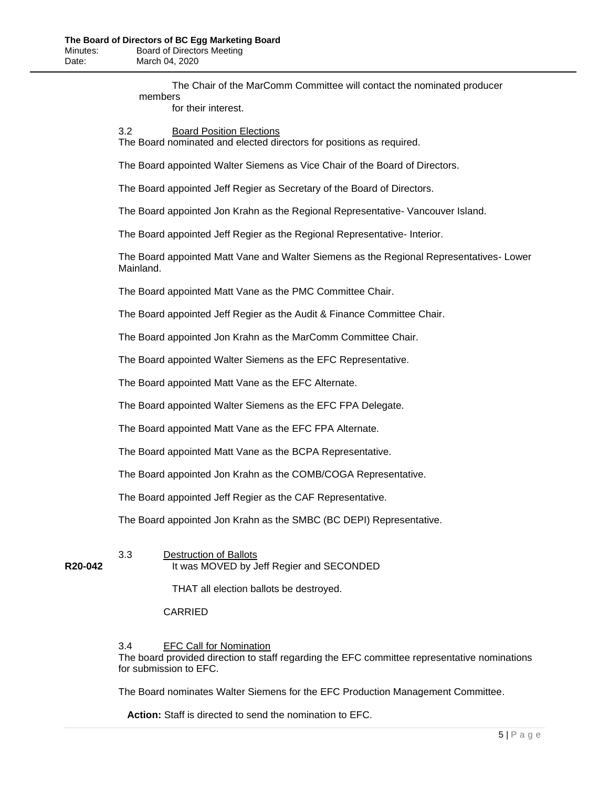The Chair of the MarComm Committee will contact the nominated producer members

for their interest.

# 3.2 Board Position Elections

The Board nominated and elected directors for positions as required.

The Board appointed Walter Siemens as Vice Chair of the Board of Directors.

The Board appointed Jeff Regier as Secretary of the Board of Directors.

The Board appointed Jon Krahn as the Regional Representative- Vancouver Island.

The Board appointed Jeff Regier as the Regional Representative- Interior.

The Board appointed Matt Vane and Walter Siemens as the Regional Representatives- Lower Mainland.

The Board appointed Matt Vane as the PMC Committee Chair.

The Board appointed Jeff Regier as the Audit & Finance Committee Chair.

The Board appointed Jon Krahn as the MarComm Committee Chair.

The Board appointed Walter Siemens as the EFC Representative.

The Board appointed Matt Vane as the EFC Alternate.

The Board appointed Walter Siemens as the EFC FPA Delegate.

The Board appointed Matt Vane as the EFC FPA Alternate.

The Board appointed Matt Vane as the BCPA Representative.

The Board appointed Jon Krahn as the COMB/COGA Representative.

The Board appointed Jeff Regier as the CAF Representative.

The Board appointed Jon Krahn as the SMBC (BC DEPI) Representative.

# 3.3 Destruction of Ballots

**R20-042** It was MOVED by Jeff Regier and SECONDED

THAT all election ballots be destroyed.

## CARRIED

3.4 EFC Call for Nomination

The board provided direction to staff regarding the EFC committee representative nominations for submission to EFC.

The Board nominates Walter Siemens for the EFC Production Management Committee.

**Action:** Staff is directed to send the nomination to EFC.